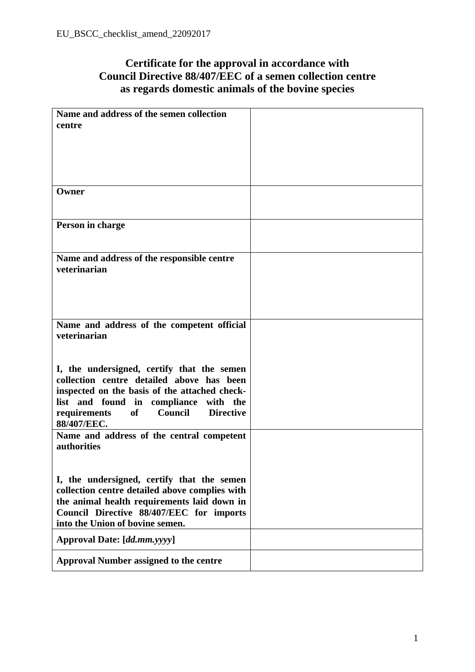## **Certificate for the approval in accordance with Council Directive 88/407/EEC of a semen collection centre as regards domestic animals of the bovine species**

| Name and address of the semen collection                 |  |
|----------------------------------------------------------|--|
| centre                                                   |  |
|                                                          |  |
|                                                          |  |
|                                                          |  |
|                                                          |  |
|                                                          |  |
| Owner                                                    |  |
|                                                          |  |
|                                                          |  |
| Person in charge                                         |  |
|                                                          |  |
|                                                          |  |
| Name and address of the responsible centre               |  |
| veterinarian                                             |  |
|                                                          |  |
|                                                          |  |
|                                                          |  |
|                                                          |  |
| Name and address of the competent official               |  |
| veterinarian                                             |  |
|                                                          |  |
|                                                          |  |
| I, the undersigned, certify that the semen               |  |
| collection centre detailed above has been                |  |
| inspected on the basis of the attached check-            |  |
| list and found in compliance with the                    |  |
| <b>Directive</b><br><b>of</b><br>Council<br>requirements |  |
| 88/407/EEC.                                              |  |
| Name and address of the central competent                |  |
| authorities                                              |  |
|                                                          |  |
|                                                          |  |
| I, the undersigned, certify that the semen               |  |
| collection centre detailed above complies with           |  |
| the animal health requirements laid down in              |  |
| Council Directive 88/407/EEC for imports                 |  |
| into the Union of bovine semen.                          |  |
| Approval Date: [dd.mm.yyyy]                              |  |
|                                                          |  |
| <b>Approval Number assigned to the centre</b>            |  |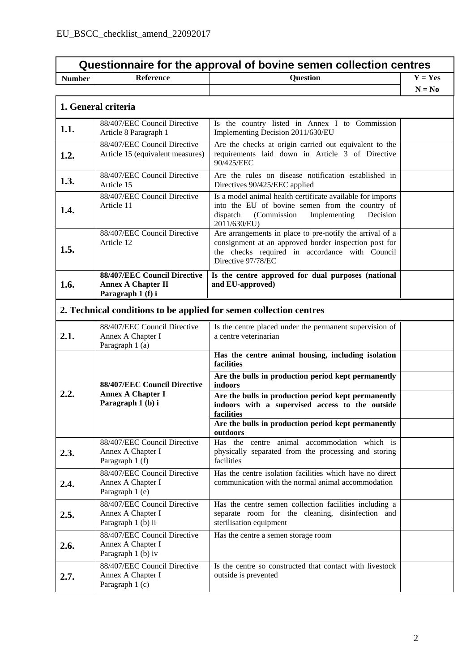| Questionnaire for the approval of bovine semen collection centres |                                                                                |                                                                                                                                                                                           |           |
|-------------------------------------------------------------------|--------------------------------------------------------------------------------|-------------------------------------------------------------------------------------------------------------------------------------------------------------------------------------------|-----------|
| <b>Number</b>                                                     | <b>Reference</b>                                                               | <b>Question</b>                                                                                                                                                                           | $Y = Yes$ |
|                                                                   |                                                                                |                                                                                                                                                                                           | $N = No$  |
|                                                                   | 1. General criteria                                                            |                                                                                                                                                                                           |           |
| 1.1.                                                              | 88/407/EEC Council Directive<br>Article 8 Paragraph 1                          | Is the country listed in Annex I to Commission<br>Implementing Decision 2011/630/EU                                                                                                       |           |
| 1.2.                                                              | 88/407/EEC Council Directive<br>Article 15 (equivalent measures)               | Are the checks at origin carried out equivalent to the<br>requirements laid down in Article 3 of Directive<br>90/425/EEC                                                                  |           |
| 1.3.                                                              | 88/407/EEC Council Directive<br>Article 15                                     | Are the rules on disease notification established in<br>Directives 90/425/EEC applied                                                                                                     |           |
| 1.4.                                                              | 88/407/EEC Council Directive<br>Article 11                                     | Is a model animal health certificate available for imports<br>into the EU of bovine semen from the country of<br>dispatch<br>(Commission<br>Implementing<br>Decision<br>2011/630/EU)      |           |
| 1.5.                                                              | 88/407/EEC Council Directive<br>Article 12                                     | Are arrangements in place to pre-notify the arrival of a<br>consignment at an approved border inspection post for<br>the checks required in accordance with Council<br>Directive 97/78/EC |           |
| 1.6.                                                              | 88/407/EEC Council Directive<br><b>Annex A Chapter II</b><br>Paragraph 1 (f) i | Is the centre approved for dual purposes (national<br>and EU-approved)                                                                                                                    |           |
|                                                                   |                                                                                | 2. Technical conditions to be applied for semen collection centres                                                                                                                        |           |
| 2.1.                                                              | 88/407/EEC Council Directive<br>Annex A Chapter I<br>Paragraph 1 (a)           | Is the centre placed under the permanent supervision of<br>a centre veterinarian                                                                                                          |           |
|                                                                   |                                                                                | Has the centre animal housing, including isolation<br>facilities                                                                                                                          |           |
|                                                                   | 88/407/EEC Council Directive<br><b>Annex A Chapter I</b><br>Paragraph 1 (b) i  | Are the bulls in production period kept permanently<br>indoors                                                                                                                            |           |
| 2.2.                                                              |                                                                                | Are the bulls in production period kept permanently<br>indoors with a supervised access to the outside<br>facilities                                                                      |           |
|                                                                   |                                                                                | Are the bulls in production period kept permanently<br>outdoors                                                                                                                           |           |
| 2.3.                                                              | 88/407/EEC Council Directive<br>Annex A Chapter I<br>Paragraph 1 (f)           | Has the centre animal accommodation which is<br>physically separated from the processing and storing<br>facilities                                                                        |           |
| 2.4.                                                              | 88/407/EEC Council Directive<br>Annex A Chapter I<br>Paragraph 1 (e)           | Has the centre isolation facilities which have no direct<br>communication with the normal animal accommodation                                                                            |           |
| 2.5.                                                              | 88/407/EEC Council Directive<br>Annex A Chapter I<br>Paragraph 1 (b) ii        | Has the centre semen collection facilities including a<br>separate room for the cleaning, disinfection and<br>sterilisation equipment                                                     |           |
| 2.6.                                                              | 88/407/EEC Council Directive<br>Annex A Chapter I<br>Paragraph 1 (b) iv        | Has the centre a semen storage room                                                                                                                                                       |           |
| 2.7.                                                              | 88/407/EEC Council Directive<br>Annex A Chapter I<br>Paragraph 1 (c)           | Is the centre so constructed that contact with livestock<br>outside is prevented                                                                                                          |           |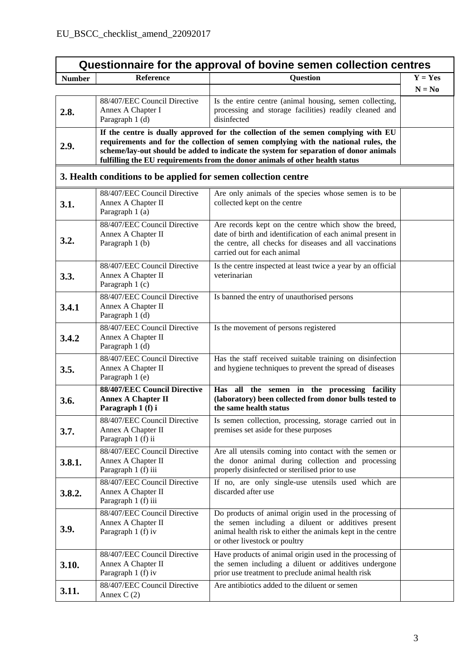| Questionnaire for the approval of bovine semen collection centres |                                                                                                                                                                                                                                                                                                                                                    |                                                                                                                                                                                                               |           |
|-------------------------------------------------------------------|----------------------------------------------------------------------------------------------------------------------------------------------------------------------------------------------------------------------------------------------------------------------------------------------------------------------------------------------------|---------------------------------------------------------------------------------------------------------------------------------------------------------------------------------------------------------------|-----------|
| <b>Number</b>                                                     | <b>Reference</b>                                                                                                                                                                                                                                                                                                                                   | <b>Question</b>                                                                                                                                                                                               | $Y = Yes$ |
|                                                                   |                                                                                                                                                                                                                                                                                                                                                    |                                                                                                                                                                                                               | $N = No$  |
| 2.8.                                                              | 88/407/EEC Council Directive<br>Annex A Chapter I<br>Paragraph 1 (d)                                                                                                                                                                                                                                                                               | Is the entire centre (animal housing, semen collecting,<br>processing and storage facilities) readily cleaned and<br>disinfected                                                                              |           |
| 2.9.                                                              | If the centre is dually approved for the collection of the semen complying with EU<br>requirements and for the collection of semen complying with the national rules, the<br>scheme/lay-out should be added to indicate the system for separation of donor animals<br>fulfilling the EU requirements from the donor animals of other health status |                                                                                                                                                                                                               |           |
|                                                                   | 3. Health conditions to be applied for semen collection centre                                                                                                                                                                                                                                                                                     |                                                                                                                                                                                                               |           |
| 3.1.                                                              | 88/407/EEC Council Directive<br>Annex A Chapter II<br>Paragraph 1 (a)                                                                                                                                                                                                                                                                              | Are only animals of the species whose semen is to be<br>collected kept on the centre                                                                                                                          |           |
| 3.2.                                                              | 88/407/EEC Council Directive<br>Annex A Chapter II<br>Paragraph 1 (b)                                                                                                                                                                                                                                                                              | Are records kept on the centre which show the breed,<br>date of birth and identification of each animal present in<br>the centre, all checks for diseases and all vaccinations<br>carried out for each animal |           |
| 3.3.                                                              | 88/407/EEC Council Directive<br>Annex A Chapter II<br>Paragraph 1 (c)                                                                                                                                                                                                                                                                              | Is the centre inspected at least twice a year by an official<br>veterinarian                                                                                                                                  |           |
| 3.4.1                                                             | 88/407/EEC Council Directive<br>Annex A Chapter II<br>Paragraph 1 (d)                                                                                                                                                                                                                                                                              | Is banned the entry of unauthorised persons                                                                                                                                                                   |           |
| 3.4.2                                                             | 88/407/EEC Council Directive<br>Annex A Chapter II<br>Paragraph 1 (d)                                                                                                                                                                                                                                                                              | Is the movement of persons registered                                                                                                                                                                         |           |
| 3.5.                                                              | 88/407/EEC Council Directive<br>Annex A Chapter II<br>Paragraph 1 (e)                                                                                                                                                                                                                                                                              | Has the staff received suitable training on disinfection<br>and hygiene techniques to prevent the spread of diseases                                                                                          |           |
| 3.6.                                                              | 88/407/EEC Council Directive<br><b>Annex A Chapter II</b><br>Paragraph 1 (f) i                                                                                                                                                                                                                                                                     | Has all the semen in the processing facility<br>(laboratory) been collected from donor bulls tested to<br>the same health status                                                                              |           |
| 3.7.                                                              | 88/407/EEC Council Directive<br>Annex A Chapter II<br>Paragraph 1 (f) ii                                                                                                                                                                                                                                                                           | Is semen collection, processing, storage carried out in<br>premises set aside for these purposes                                                                                                              |           |
| 3.8.1.                                                            | 88/407/EEC Council Directive<br>Annex A Chapter II<br>Paragraph 1 (f) iii                                                                                                                                                                                                                                                                          | Are all utensils coming into contact with the semen or<br>the donor animal during collection and processing<br>properly disinfected or sterilised prior to use                                                |           |
| 3.8.2.                                                            | 88/407/EEC Council Directive<br>Annex A Chapter II<br>Paragraph 1 (f) iii                                                                                                                                                                                                                                                                          | If no, are only single-use utensils used which are<br>discarded after use                                                                                                                                     |           |
| 3.9.                                                              | 88/407/EEC Council Directive<br>Annex A Chapter II<br>Paragraph 1 (f) iv                                                                                                                                                                                                                                                                           | Do products of animal origin used in the processing of<br>the semen including a diluent or additives present<br>animal health risk to either the animals kept in the centre<br>or other livestock or poultry  |           |
| 3.10.                                                             | 88/407/EEC Council Directive<br>Annex A Chapter II<br>Paragraph 1 (f) iv                                                                                                                                                                                                                                                                           | Have products of animal origin used in the processing of<br>the semen including a diluent or additives undergone<br>prior use treatment to preclude animal health risk                                        |           |
| 3.11.                                                             | 88/407/EEC Council Directive<br>Annex $C(2)$                                                                                                                                                                                                                                                                                                       | Are antibiotics added to the diluent or semen                                                                                                                                                                 |           |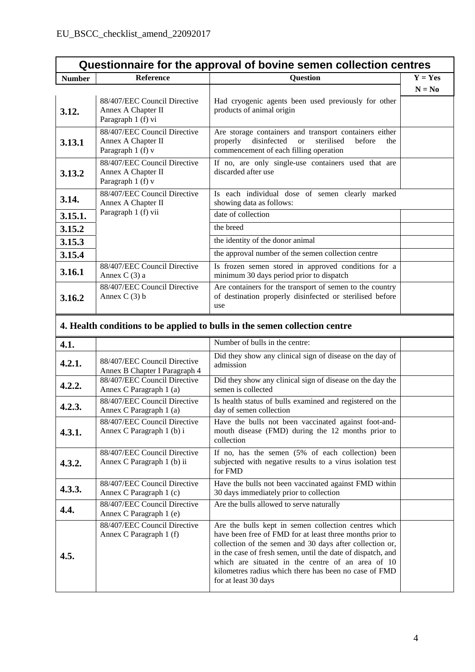| Questionnaire for the approval of bovine semen collection centres |                                                                           |                                                                                                                                                                             |           |
|-------------------------------------------------------------------|---------------------------------------------------------------------------|-----------------------------------------------------------------------------------------------------------------------------------------------------------------------------|-----------|
| <b>Number</b>                                                     | <b>Reference</b>                                                          | <b>Question</b>                                                                                                                                                             | $Y = Yes$ |
|                                                                   |                                                                           |                                                                                                                                                                             | $N = No$  |
| 3.12.                                                             | 88/407/EEC Council Directive<br>Annex A Chapter II<br>Paragraph 1 (f) vi  | Had cryogenic agents been used previously for other<br>products of animal origin                                                                                            |           |
| 3.13.1                                                            | 88/407/EEC Council Directive<br>Annex A Chapter II<br>Paragraph 1 (f) v   | Are storage containers and transport containers either<br>disinfected<br>sterilised<br>before<br>properly<br><sub>or</sub><br>the<br>commencement of each filling operation |           |
| 3.13.2                                                            | 88/407/EEC Council Directive<br>Annex A Chapter II<br>Paragraph 1 (f) v   | If no, are only single-use containers used that are<br>discarded after use                                                                                                  |           |
| 3.14.                                                             | 88/407/EEC Council Directive<br>Annex A Chapter II<br>Paragraph 1 (f) vii | Is each individual dose of semen clearly marked<br>showing data as follows:                                                                                                 |           |
| 3.15.1.                                                           |                                                                           | date of collection                                                                                                                                                          |           |
| 3.15.2                                                            |                                                                           | the breed                                                                                                                                                                   |           |
| 3.15.3                                                            |                                                                           | the identity of the donor animal                                                                                                                                            |           |
| 3.15.4                                                            |                                                                           | the approval number of the semen collection centre                                                                                                                          |           |
| 3.16.1                                                            | 88/407/EEC Council Directive<br>Annex C $(3)$ a                           | Is frozen semen stored in approved conditions for a<br>minimum 30 days period prior to dispatch                                                                             |           |
| 3.16.2                                                            | 88/407/EEC Council Directive<br>Annex $C(3)$ b                            | Are containers for the transport of semen to the country<br>of destination properly disinfected or sterilised before<br>use                                                 |           |

## **4. Health conditions to be applied to bulls in the semen collection centre**

| 4.1.   |                                                               | Number of bulls in the centre:                                                                                                                                                                                                                                                                                                                                                    |  |
|--------|---------------------------------------------------------------|-----------------------------------------------------------------------------------------------------------------------------------------------------------------------------------------------------------------------------------------------------------------------------------------------------------------------------------------------------------------------------------|--|
| 4.2.1. | 88/407/EEC Council Directive<br>Annex B Chapter I Paragraph 4 | Did they show any clinical sign of disease on the day of<br>admission                                                                                                                                                                                                                                                                                                             |  |
| 4.2.2. | 88/407/EEC Council Directive<br>Annex C Paragraph 1 (a)       | Did they show any clinical sign of disease on the day the<br>semen is collected                                                                                                                                                                                                                                                                                                   |  |
| 4.2.3. | 88/407/EEC Council Directive<br>Annex C Paragraph 1 (a)       | Is health status of bulls examined and registered on the<br>day of semen collection                                                                                                                                                                                                                                                                                               |  |
| 4.3.1. | 88/407/EEC Council Directive<br>Annex C Paragraph 1 (b) i     | Have the bulls not been vaccinated against foot-and-<br>mouth disease (FMD) during the 12 months prior to<br>collection                                                                                                                                                                                                                                                           |  |
| 4.3.2. | 88/407/EEC Council Directive<br>Annex C Paragraph 1 (b) ii    | If no, has the semen (5% of each collection) been<br>subjected with negative results to a virus isolation test<br>for FMD                                                                                                                                                                                                                                                         |  |
| 4.3.3. | 88/407/EEC Council Directive<br>Annex C Paragraph 1 (c)       | Have the bulls not been vaccinated against FMD within<br>30 days immediately prior to collection                                                                                                                                                                                                                                                                                  |  |
| 4.4.   | 88/407/EEC Council Directive<br>Annex C Paragraph 1 (e)       | Are the bulls allowed to serve naturally                                                                                                                                                                                                                                                                                                                                          |  |
| 4.5.   | 88/407/EEC Council Directive<br>Annex C Paragraph 1 (f)       | Are the bulls kept in semen collection centres which<br>have been free of FMD for at least three months prior to<br>collection of the semen and 30 days after collection or,<br>in the case of fresh semen, until the date of dispatch, and<br>which are situated in the centre of an area of 10<br>kilometres radius which there has been no case of FMD<br>for at least 30 days |  |